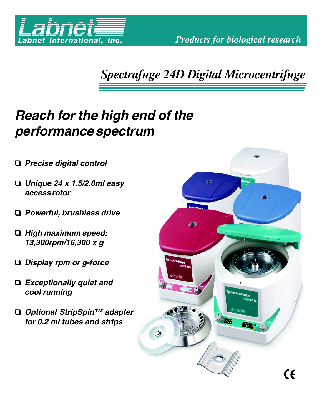

*Products for biological research*

*Spectrafuge 24D Digital Microcentrifuge*

# **Reach for the high end of the performance spectrum**

- ❑ **Precise digital control**
- ❑ **Unique 24 x 1.5/2.0ml easy access rotor**
- ❑ **Powerful, brushless drive**
- ❑ **High maximum speed: 13,300rpm/16,300 x g**
- ❑ **Display rpm or g-force**
- ❑ **Exceptionally quiet and cool running**
- ❑ **Optional StripSpin™ adapter for 0.2 ml tubes and strips**